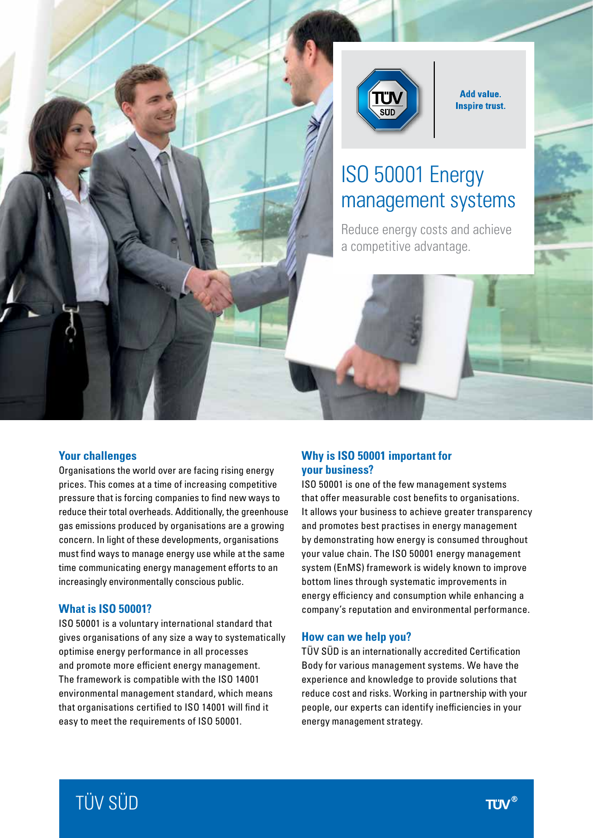

**Add value. Inspire trust.** 

# ISO 50001 Energy management systems

Reduce energy costs and achieve a competitive advantage.

#### **Your challenges**

Organisations the world over are facing rising energy prices. This comes at a time of increasing competitive pressure that is forcing companies to find new ways to reduce their total overheads. Additionally, the greenhouse gas emissions produced by organisations are a growing concern. In light of these developments, organisations must find ways to manage energy use while at the same time communicating energy management efforts to an increasingly environmentally conscious public.

#### **What is ISO 50001?**

ISO 50001 is a voluntary international standard that gives organisations of any size a way to systematically optimise energy performance in all processes and promote more efficient energy management. The framework is compatible with the ISO 14001 environmental management standard, which means that organisations certified to ISO 14001 will find it easy to meet the requirements of ISO 50001.

### **Why is ISO 50001 important for your business?**

ISO 50001 is one of the few management systems that offer measurable cost benefits to organisations. It allows your business to achieve greater transparency and promotes best practises in energy management by demonstrating how energy is consumed throughout your value chain. The ISO 50001 energy management system (EnMS) framework is widely known to improve bottom lines through systematic improvements in energy efficiency and consumption while enhancing a company's reputation and environmental performance.

#### **How can we help you?**

TÜV SÜD is an internationally accredited Certification Body for various management systems. We have the experience and knowledge to provide solutions that reduce cost and risks. Working in partnership with your people, our experts can identify inefficiencies in your energy management strategy.

# TÜV SÜD